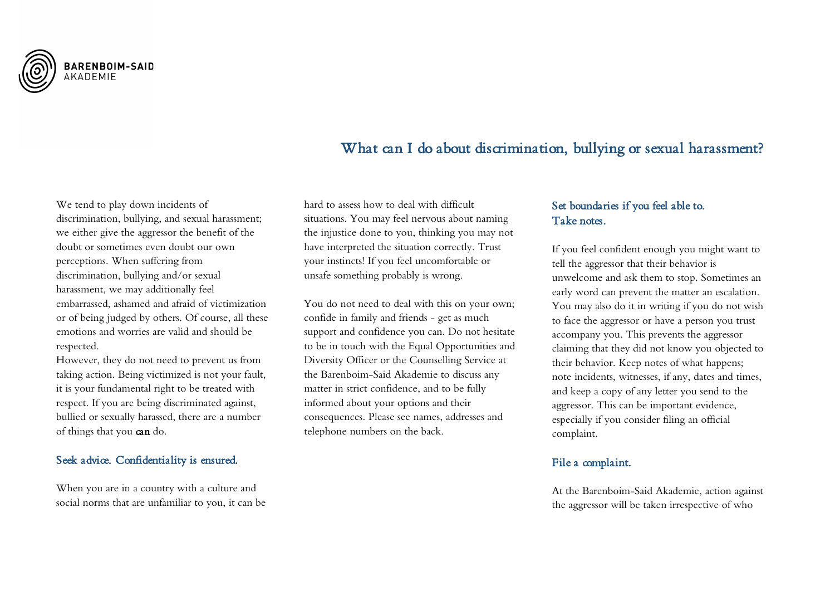

# What can I do about discrimination, bullying or sexual harassment?

We tend to play down incidents of discrimination, bullying, and sexual harassment; we either give the aggressor the benefit of the doubt or sometimes even doubt our own perceptions. When suffering from discrimination, bullying and/or sexual harassment, we may additionally feel embarrassed, ashamed and afraid of victimization or of being judged by others. Of course, all these emotions and worries are valid and should be respected.

However, they do not need to prevent us from taking action. Being victimized is not your fault, it is your fundamental right to be treated with respect. If you are being discriminated against, bullied or sexually harassed, there are a number of things that you can do.

## Seek advice. Confidentiality is ensured.

When you are in a country with a culture and social norms that are unfamiliar to you, it can be

hard to assess how to deal with difficult situations. You may feel nervous about naming the injustice done to you, thinking you may not have interpreted the situation correctly. Trust your instincts! If you feel uncomfortable or unsafe something probably is wrong.

You do not need to deal with this on your own; confide in family and friends - get as much support and confidence you can. Do not hesitate to be in touch with the Equal Opportunities and Diversity Officer or the Counselling Service at the Barenboim-Said Akademie to discuss any matter in strict confidence, and to be fully informed about your options and their consequences. Please see names, addresses and telephone numbers on the back.

# Set boundaries if you feel able to. Take notes.

If you feel confident enough you might want to tell the aggressor that their behavior is unwelcome and ask them to stop. Sometimes an early word can prevent the matter an escalation. You may also do it in writing if you do not wish to face the aggressor or have a person you trust accompany you. This prevents the aggressor claiming that they did not know you objected to their behavior. Keep notes of what happens; note incidents, witnesses, if any, dates and times, and keep a copy of any letter you send to the aggressor. This can be important evidence, especially if you consider filing an official complaint.

#### File a complaint.

At the Barenboim-Said Akademie, action against the aggressor will be taken irrespective of who